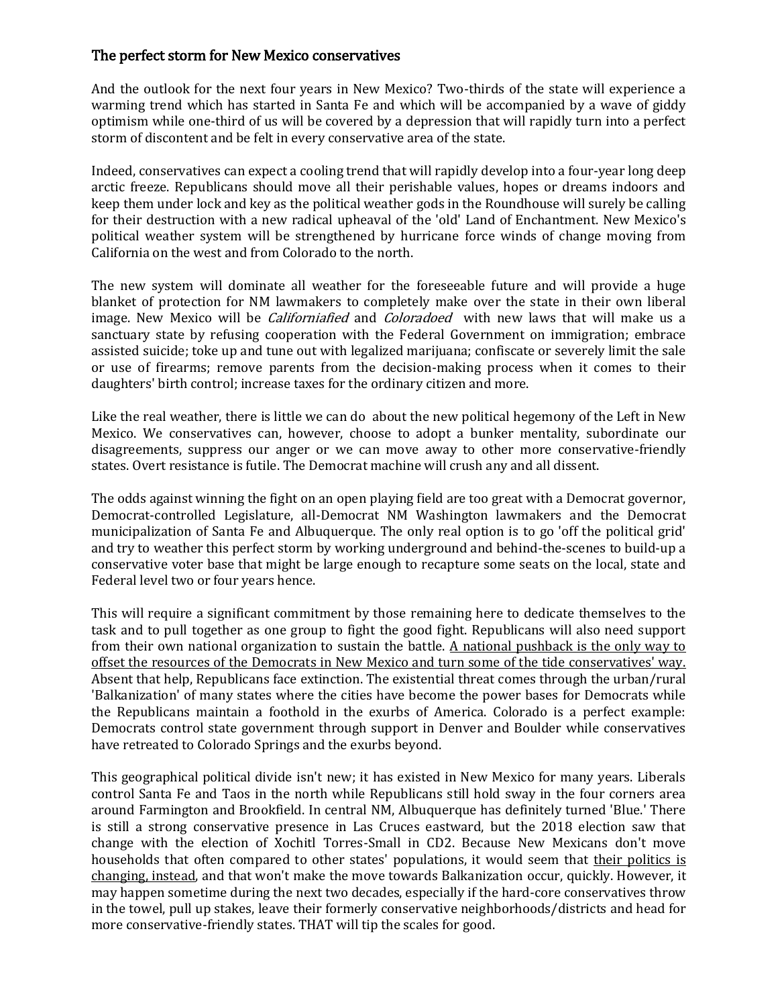## The perfect storm for New Mexico conservatives

And the outlook for the next four years in New Mexico? Two-thirds of the state will experience a warming trend which has started in Santa Fe and which will be accompanied by a wave of giddy optimism while one-third of us will be covered by a depression that will rapidly turn into a perfect storm of discontent and be felt in every conservative area of the state.

Indeed, conservatives can expect a cooling trend that will rapidly develop into a four-year long deep arctic freeze. Republicans should move all their perishable values, hopes or dreams indoors and keep them under lock and key as the political weather gods in the Roundhouse will surely be calling for their destruction with a new radical upheaval of the 'old' Land of Enchantment. New Mexico's political weather system will be strengthened by hurricane force winds of change moving from California on the west and from Colorado to the north.

The new system will dominate all weather for the foreseeable future and will provide a huge blanket of protection for NM lawmakers to completely make over the state in their own liberal image. New Mexico will be *Californiafied* and *Coloradoed* with new laws that will make us a sanctuary state by refusing cooperation with the Federal Government on immigration; embrace assisted suicide; toke up and tune out with legalized marijuana; confiscate or severely limit the sale or use of firearms; remove parents from the decision-making process when it comes to their daughters' birth control; increase taxes for the ordinary citizen and more.

Like the real weather, there is little we can do about the new political hegemony of the Left in New Mexico. We conservatives can, however, choose to adopt a bunker mentality, subordinate our disagreements, suppress our anger or we can move away to other more conservative-friendly states. Overt resistance is futile. The Democrat machine will crush any and all dissent.

The odds against winning the fight on an open playing field are too great with a Democrat governor, Democrat-controlled Legislature, all-Democrat NM Washington lawmakers and the Democrat municipalization of Santa Fe and Albuquerque. The only real option is to go 'off the political grid' and try to weather this perfect storm by working underground and behind-the-scenes to build-up a conservative voter base that might be large enough to recapture some seats on the local, state and Federal level two or four years hence.

This will require a significant commitment by those remaining here to dedicate themselves to the task and to pull together as one group to fight the good fight. Republicans will also need support from their own national organization to sustain the battle. A national pushback is the only way to offset the resources of the Democrats in New Mexico and turn some of the tide conservatives' way. Absent that help, Republicans face extinction. The existential threat comes through the urban/rural 'Balkanization' of many states where the cities have become the power bases for Democrats while the Republicans maintain a foothold in the exurbs of America. Colorado is a perfect example: Democrats control state government through support in Denver and Boulder while conservatives have retreated to Colorado Springs and the exurbs beyond.

This geographical political divide isn't new; it has existed in New Mexico for many years. Liberals control Santa Fe and Taos in the north while Republicans still hold sway in the four corners area around Farmington and Brookfield. In central NM, Albuquerque has definitely turned 'Blue.' There is still a strong conservative presence in Las Cruces eastward, but the 2018 election saw that change with the election of Xochitl Torres-Small in CD2. Because New Mexicans don't move households that often compared to other states' populations, it would seem that their politics is changing, instead, and that won't make the move towards Balkanization occur, quickly. However, it may happen sometime during the next two decades, especially if the hard-core conservatives throw in the towel, pull up stakes, leave their formerly conservative neighborhoods/districts and head for more conservative-friendly states. THAT will tip the scales for good.